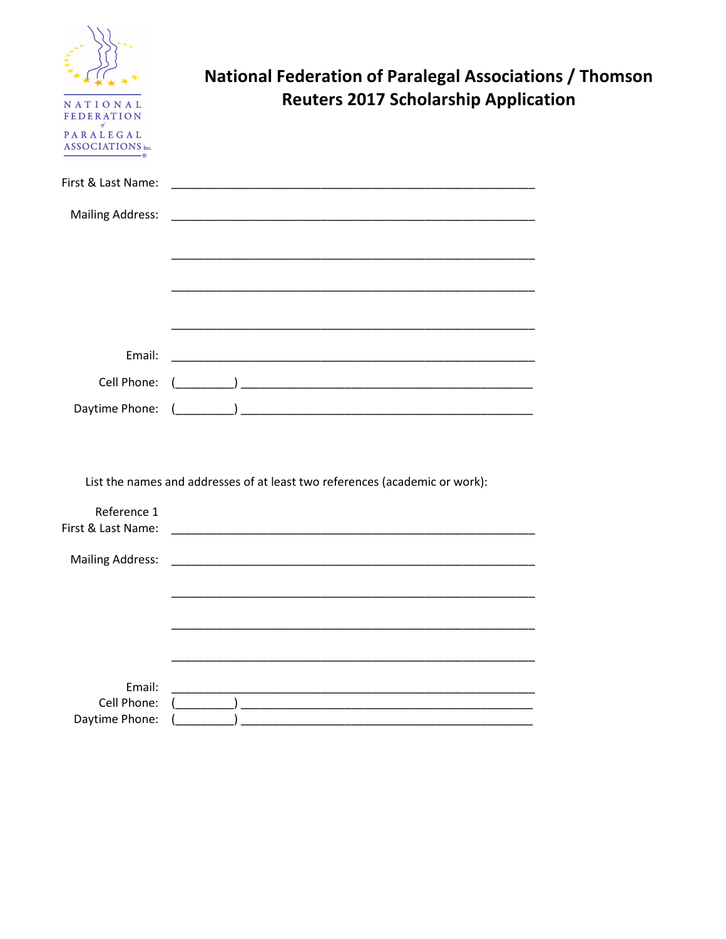| NATIONAL<br><b>FEDERATION</b><br>PARALEGAL<br>ASSOCIATIONS Inc. | <b>National Federation of Paralegal Associations / Thomson</b><br><b>Reuters 2017 Scholarship Application</b>        |  |
|-----------------------------------------------------------------|----------------------------------------------------------------------------------------------------------------------|--|
| First & Last Name:                                              |                                                                                                                      |  |
| <b>Mailing Address:</b>                                         |                                                                                                                      |  |
|                                                                 | <u> 1990 - Johann John Harry Harry Harry Harry Harry Harry Harry Harry Harry Harry Harry Harry Harry Harry Harry</u> |  |
| Email:                                                          |                                                                                                                      |  |
| Cell Phone:                                                     |                                                                                                                      |  |
| Daytime Phone:                                                  |                                                                                                                      |  |
|                                                                 | List the names and addresses of at least two references (academic or work):                                          |  |
| Reference 1<br>First & Last Name:                               |                                                                                                                      |  |
| <b>Mailing Address:</b>                                         |                                                                                                                      |  |
|                                                                 |                                                                                                                      |  |
| Email:<br>Cell Phone:<br>Daytime Phone:                         |                                                                                                                      |  |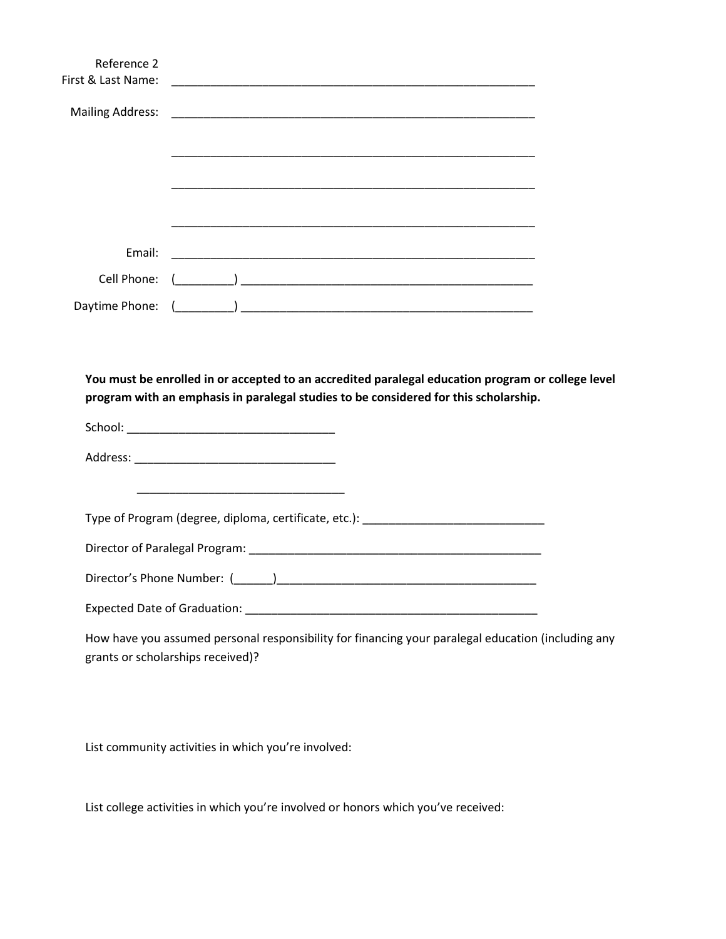| First & Last Name:                                                                                                                                                                        |  |                                                                                                                       |  |  |  |
|-------------------------------------------------------------------------------------------------------------------------------------------------------------------------------------------|--|-----------------------------------------------------------------------------------------------------------------------|--|--|--|
| <b>Mailing Address:</b>                                                                                                                                                                   |  |                                                                                                                       |  |  |  |
|                                                                                                                                                                                           |  |                                                                                                                       |  |  |  |
|                                                                                                                                                                                           |  | <u> 1989 - Johann Stoff, amerikansk politiker (d. 1989)</u>                                                           |  |  |  |
|                                                                                                                                                                                           |  |                                                                                                                       |  |  |  |
|                                                                                                                                                                                           |  |                                                                                                                       |  |  |  |
| Email:                                                                                                                                                                                    |  |                                                                                                                       |  |  |  |
|                                                                                                                                                                                           |  |                                                                                                                       |  |  |  |
|                                                                                                                                                                                           |  |                                                                                                                       |  |  |  |
| You must be enrolled in or accepted to an accredited paralegal education program or college level<br>program with an emphasis in paralegal studies to be considered for this scholarship. |  |                                                                                                                       |  |  |  |
|                                                                                                                                                                                           |  |                                                                                                                       |  |  |  |
|                                                                                                                                                                                           |  | <u> 1989 - Johann John Stoff, deutscher Stoffen und der Stoffen und der Stoffen und der Stoffen und der Stoffen u</u> |  |  |  |
| Type of Program (degree, diploma, certificate, etc.): ___________________________                                                                                                         |  |                                                                                                                       |  |  |  |
|                                                                                                                                                                                           |  |                                                                                                                       |  |  |  |
|                                                                                                                                                                                           |  |                                                                                                                       |  |  |  |
|                                                                                                                                                                                           |  |                                                                                                                       |  |  |  |
| How have you assumed personal responsibility for financing your paralegal education (including any<br>grants or scholarships received)?                                                   |  |                                                                                                                       |  |  |  |

List community activities in which you're involved:

List college activities in which you're involved or honors which you've received: